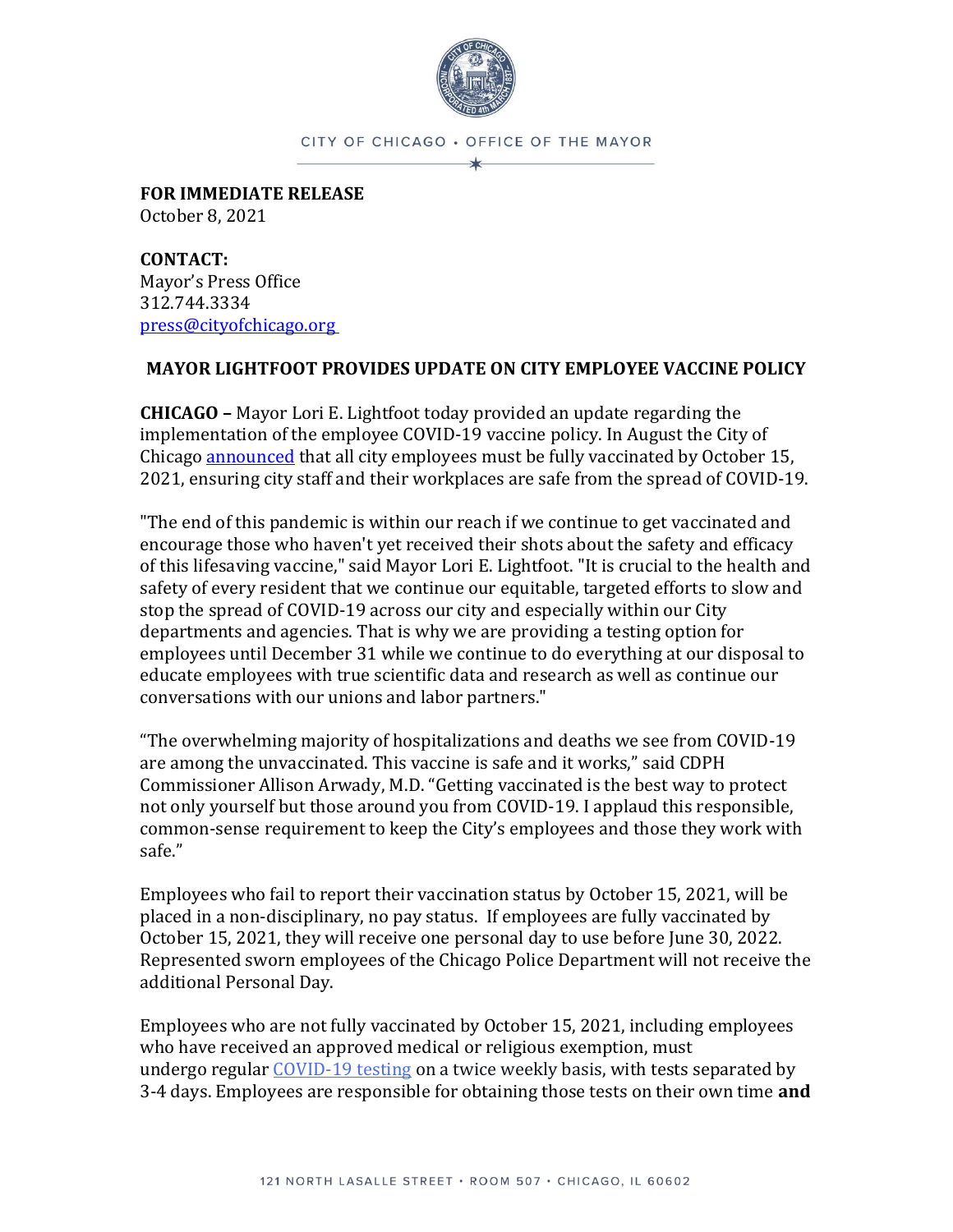

CITY OF CHICAGO . OFFICE OF THE MAYOR ∗

**FOR IMMEDIATE RELEASE** October 8, 2021

**CONTACT:** Mayor's Press Office 312.744.3334 [press@cityofchicago.org](mailto:press@cityofchicago.org)

## **MAYOR LIGHTFOOT PROVIDES UPDATE ON CITY EMPLOYEE VACCINE POLICY**

**CHICAGO –** Mayor Lori E. Lightfoot today provided an update regarding the implementation of the employee COVID-19 vaccine policy. In August the City of Chicago **announced** that all city employees must be fully vaccinated by October 15, 2021, ensuring city staff and their workplaces are safe from the spread of COVID-19.

"The end of this pandemic is within our reach if we continue to get vaccinated and encourage those who haven't yet received their shots about the safety and efficacy of this lifesaving vaccine," said Mayor Lori E. Lightfoot. "It is crucial to the health and safety of every resident that we continue our equitable, targeted efforts to slow and stop the spread of COVID-19 across our city and especially within our City departments and agencies. That is why we are providing a testing option for employees until December 31 while we continue to do everything at our disposal to educate employees with true scientific data and research as well as continue our conversations with our unions and labor partners."

"The overwhelming majority of hospitalizations and deaths we see from COVID-19 are among the unvaccinated. This vaccine is safe and it works," said CDPH Commissioner Allison Arwady, M.D. "Getting vaccinated is the best way to protect not only yourself but those around you from COVID-19. I applaud this responsible, common-sense requirement to keep the City's employees and those they work with safe."

Employees who fail to report their vaccination status by October 15, 2021, will be placed in a non-disciplinary, no pay status. If employees are fully vaccinated by October 15, 2021, they will receive one personal day to use before June 30, 2022. Represented sworn employees of the Chicago Police Department will not receive the additional Personal Day.

Employees who are not fully vaccinated by October 15, 2021, including employees who have received an approved medical or religious exemption, must undergo regular [COVID-19 testing](https://www.chicago.gov/city/en/sites/covid-19/home/covid-testing.html) on a twice weekly basis, with tests separated by 3-4 days. Employees are responsible for obtaining those tests on their own time **and**